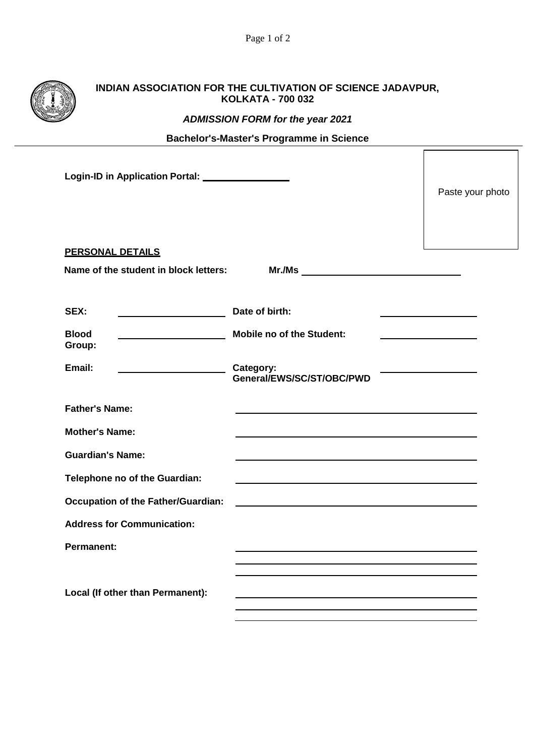|                                                 | INDIAN ASSOCIATION FOR THE CULTIVATION OF SCIENCE JADAVPUR,<br><b>KOLKATA - 700 032</b> |                                                                                                                                                                                                                               |  |  |  |
|-------------------------------------------------|-----------------------------------------------------------------------------------------|-------------------------------------------------------------------------------------------------------------------------------------------------------------------------------------------------------------------------------|--|--|--|
|                                                 |                                                                                         | <b>ADMISSION FORM for the year 2021</b>                                                                                                                                                                                       |  |  |  |
|                                                 |                                                                                         | <b>Bachelor's-Master's Programme in Science</b>                                                                                                                                                                               |  |  |  |
| Login-ID in Application Portal: _______________ | Paste your photo                                                                        |                                                                                                                                                                                                                               |  |  |  |
|                                                 | <b>PERSONAL DETAILS</b>                                                                 |                                                                                                                                                                                                                               |  |  |  |
|                                                 | Name of the student in block letters:                                                   |                                                                                                                                                                                                                               |  |  |  |
| SEX:                                            | <b>Blood</b><br>Group:                                                                  | Date of birth:<br><b>Mobile no of the Student:</b>                                                                                                                                                                            |  |  |  |
|                                                 | Email:                                                                                  | Category:<br>General/EWS/SC/ST/OBC/PWD                                                                                                                                                                                        |  |  |  |
|                                                 | <b>Father's Name:</b>                                                                   |                                                                                                                                                                                                                               |  |  |  |
|                                                 | <b>Mother's Name:</b>                                                                   | and the control of the control of the control of the control of the control of the control of the control of the                                                                                                              |  |  |  |
|                                                 | <b>Guardian's Name:</b>                                                                 |                                                                                                                                                                                                                               |  |  |  |
|                                                 | Telephone no of the Guardian:                                                           |                                                                                                                                                                                                                               |  |  |  |
|                                                 | <b>Occupation of the Father/Guardian:</b>                                               | the control of the control of the control of the control of the control of the control of the control of the control of the control of the control of the control of the control of the control of the control of the control |  |  |  |
|                                                 | <b>Address for Communication:</b>                                                       |                                                                                                                                                                                                                               |  |  |  |
|                                                 | <b>Permanent:</b>                                                                       |                                                                                                                                                                                                                               |  |  |  |
|                                                 | Local (If other than Permanent):                                                        |                                                                                                                                                                                                                               |  |  |  |